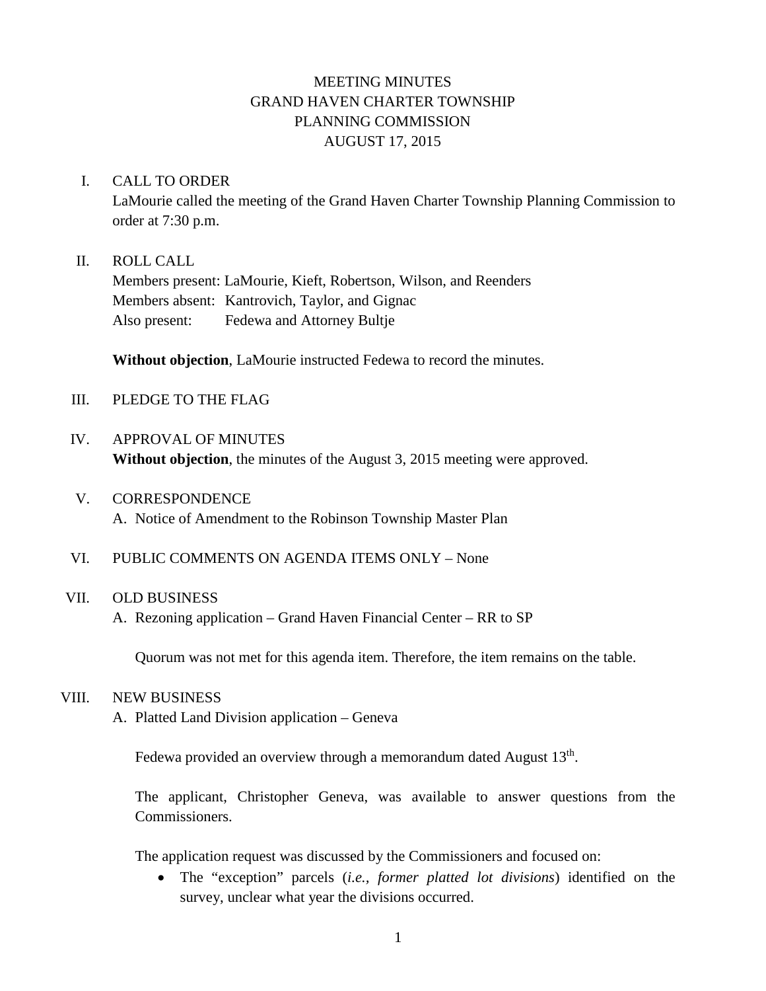# MEETING MINUTES GRAND HAVEN CHARTER TOWNSHIP PLANNING COMMISSION AUGUST 17, 2015

#### I. CALL TO ORDER

LaMourie called the meeting of the Grand Haven Charter Township Planning Commission to order at 7:30 p.m.

## II. ROLL CALL

Members present: LaMourie, Kieft, Robertson, Wilson, and Reenders Members absent: Kantrovich, Taylor, and Gignac Also present: Fedewa and Attorney Bultje

**Without objection**, LaMourie instructed Fedewa to record the minutes.

## III. PLEDGE TO THE FLAG

# IV. APPROVAL OF MINUTES **Without objection**, the minutes of the August 3, 2015 meeting were approved.

- V. CORRESPONDENCE A. Notice of Amendment to the Robinson Township Master Plan
- VI. PUBLIC COMMENTS ON AGENDA ITEMS ONLY None

# VII. OLD BUSINESS

A. Rezoning application – Grand Haven Financial Center – RR to SP

Quorum was not met for this agenda item. Therefore, the item remains on the table.

#### VIII. NEW BUSINESS

A. Platted Land Division application – Geneva

Fedewa provided an overview through a memorandum dated August 13<sup>th</sup>.

The applicant, Christopher Geneva, was available to answer questions from the Commissioners.

The application request was discussed by the Commissioners and focused on:

• The "exception" parcels (*i.e., former platted lot divisions*) identified on the survey, unclear what year the divisions occurred.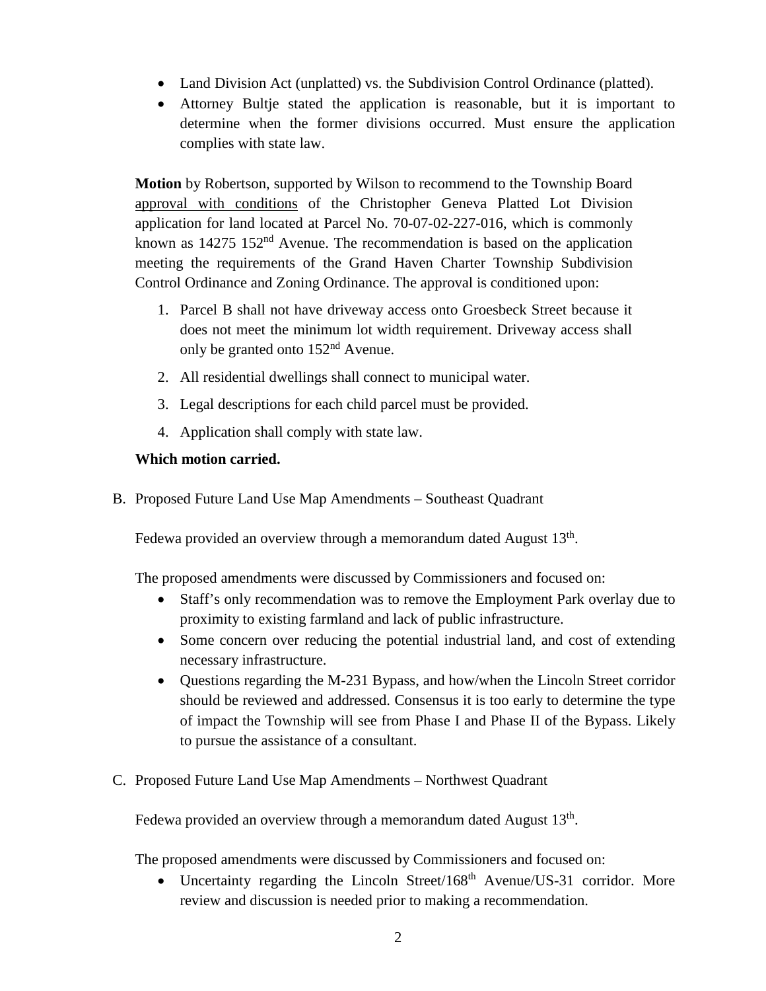- Land Division Act (unplatted) vs. the Subdivision Control Ordinance (platted).
- Attorney Bultje stated the application is reasonable, but it is important to determine when the former divisions occurred. Must ensure the application complies with state law.

**Motion** by Robertson, supported by Wilson to recommend to the Township Board approval with conditions of the Christopher Geneva Platted Lot Division application for land located at Parcel No. 70-07-02-227-016, which is commonly known as 14275 152<sup>nd</sup> Avenue. The recommendation is based on the application meeting the requirements of the Grand Haven Charter Township Subdivision Control Ordinance and Zoning Ordinance. The approval is conditioned upon:

- 1. Parcel B shall not have driveway access onto Groesbeck Street because it does not meet the minimum lot width requirement. Driveway access shall only be granted onto 152nd Avenue.
- 2. All residential dwellings shall connect to municipal water.
- 3. Legal descriptions for each child parcel must be provided.
- 4. Application shall comply with state law.

# **Which motion carried.**

B. Proposed Future Land Use Map Amendments – Southeast Quadrant

Fedewa provided an overview through a memorandum dated August 13<sup>th</sup>.

The proposed amendments were discussed by Commissioners and focused on:

- Staff's only recommendation was to remove the Employment Park overlay due to proximity to existing farmland and lack of public infrastructure.
- Some concern over reducing the potential industrial land, and cost of extending necessary infrastructure.
- Questions regarding the M-231 Bypass, and how/when the Lincoln Street corridor should be reviewed and addressed. Consensus it is too early to determine the type of impact the Township will see from Phase I and Phase II of the Bypass. Likely to pursue the assistance of a consultant.
- C. Proposed Future Land Use Map Amendments Northwest Quadrant

Fedewa provided an overview through a memorandum dated August 13<sup>th</sup>.

The proposed amendments were discussed by Commissioners and focused on:

• Uncertainty regarding the Lincoln Street/168<sup>th</sup> Avenue/US-31 corridor. More review and discussion is needed prior to making a recommendation.